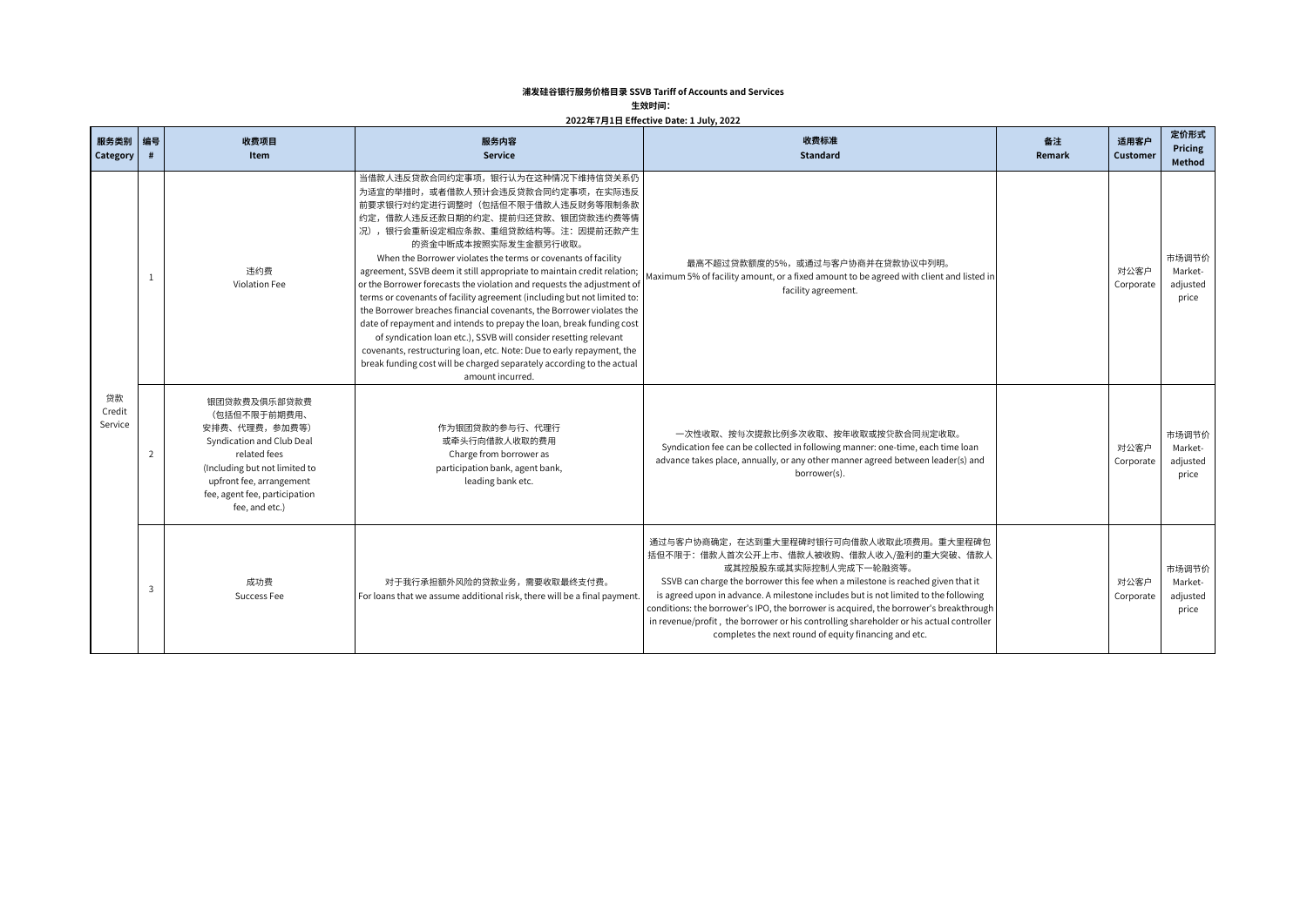## **浦发硅谷银行服务价格目录 SSVB Tariff of Accounts and Services**

## **生效时间:**

## **2022年7月1日 Effective Date: 1 July, 2022**

| 服务类别 编号<br>Category     | #                                                                                                                                                                                                                                                                                                                                                                  | 收费项目<br>Item         | 服务内容<br><b>Service</b>                                                                                                                                                                                                                                                                                                                                                                                                                                                                                                                                                                                                                                                                                                                                                                                                                                                                             | 收费标准<br><b>Standard</b>                                                                                                                                                                                                                                                                                                                                                                                                                                                                                                              | 备注<br>Remark      | 适用客户<br>Customer                      | 定价形式<br>Pricing<br>Method             |
|-------------------------|--------------------------------------------------------------------------------------------------------------------------------------------------------------------------------------------------------------------------------------------------------------------------------------------------------------------------------------------------------------------|----------------------|----------------------------------------------------------------------------------------------------------------------------------------------------------------------------------------------------------------------------------------------------------------------------------------------------------------------------------------------------------------------------------------------------------------------------------------------------------------------------------------------------------------------------------------------------------------------------------------------------------------------------------------------------------------------------------------------------------------------------------------------------------------------------------------------------------------------------------------------------------------------------------------------------|--------------------------------------------------------------------------------------------------------------------------------------------------------------------------------------------------------------------------------------------------------------------------------------------------------------------------------------------------------------------------------------------------------------------------------------------------------------------------------------------------------------------------------------|-------------------|---------------------------------------|---------------------------------------|
|                         | -1                                                                                                                                                                                                                                                                                                                                                                 | 违约费<br>Violation Fee | 当借款人违反贷款合同约定事项,银行认为在这种情况下维持信贷关系仍<br>为适宜的举措时,或者借款人预计会违反贷款合同约定事项,在实际违反<br>前要求银行对约定进行调整时(包括但不限于借款人违反财务等限制条款<br>约定,借款人违反还款日期的约定、提前归还贷款、银团贷款违约费等情<br>况),银行会重新设定相应条款、重组贷款结构等。注:因提前还款产生<br>的资金中断成本按照实际发生金额另行收取。<br>When the Borrower violates the terms or covenants of facility<br>agreement, SSVB deem it still appropriate to maintain credit relation;<br>or the Borrower forecasts the violation and requests the adjustment of<br>terms or covenants of facility agreement (including but not limited to:<br>the Borrower breaches financial covenants, the Borrower violates the<br>date of repayment and intends to prepay the loan, break funding cost<br>of syndication loan etc.), SSVB will consider resetting relevant<br>covenants, restructuring loan, etc. Note: Due to early repayment, the<br>break funding cost will be charged separately according to the actual<br>amount incurred. | 最高不超过贷款额度的5%,或通过与客户协商并在贷款协议中列明。<br>Maximum 5% of facility amount, or a fixed amount to be agreed with client and listed ir<br>facility agreement.                                                                                                                                                                                                                                                                                                                                                                                    |                   | 对公客户<br>Corporate                     | 市场调节价<br>Market-<br>adjusted<br>price |
| 贷款<br>Credit<br>Service | 银团贷款费及俱乐部贷款费<br>(包括但不限于前期费用、<br>安排费、代理费,参加费等)<br>作为银团贷款的参与行、代理行<br>Syndication and Club Deal<br>或牵头行向借款人收取的费用<br>related fees<br>$\overline{2}$<br>Charge from borrower as<br>(Including but not limited to<br>participation bank, agent bank,<br>borrower(s).<br>upfront fee, arrangement<br>leading bank etc.<br>fee, agent fee, participation<br>fee, and etc.) |                      | 一次性收取、按每次提款比例多次收取、按年收取或按贷款合同规定收取。<br>Syndication fee can be collected in following manner: one-time, each time loan<br>advance takes place, annually, or any other manner agreed between leader(s) and                                                                                                                                                                                                                                                                                                                                                                                                                                                                                                                                                                                                                                                                                             |                                                                                                                                                                                                                                                                                                                                                                                                                                                                                                                                      | 对公客户<br>Corporate | 市场调节价<br>Market-<br>adjusted<br>price |                                       |
|                         | $\overline{3}$                                                                                                                                                                                                                                                                                                                                                     | 成功费<br>Success Fee   | 对于我行承担额外风险的贷款业务,需要收取最终支付费。<br>For loans that we assume additional risk, there will be a final payment.                                                                                                                                                                                                                                                                                                                                                                                                                                                                                                                                                                                                                                                                                                                                                                                             | 通过与客户协商确定,在达到重大里程碑时银行可向借款人收取此项费用。重大里程碑包<br>括但不限于:借款人首次公开上市、借款人被收购、借款人收入/盈利的重大突破、借款人<br>或其控股股东或其实际控制人完成下一轮融资等。<br>SSVB can charge the borrower this fee when a milestone is reached given that it<br>is agreed upon in advance. A milestone includes but is not limited to the following<br>conditions: the borrower's IPO, the borrower is acquired, the borrower's breakthrough<br>in revenue/profit, the borrower or his controlling shareholder or his actual controller<br>completes the next round of equity financing and etc. |                   | 对公客户<br>Corporate                     | 市场调节价<br>Market-<br>adjusted<br>price |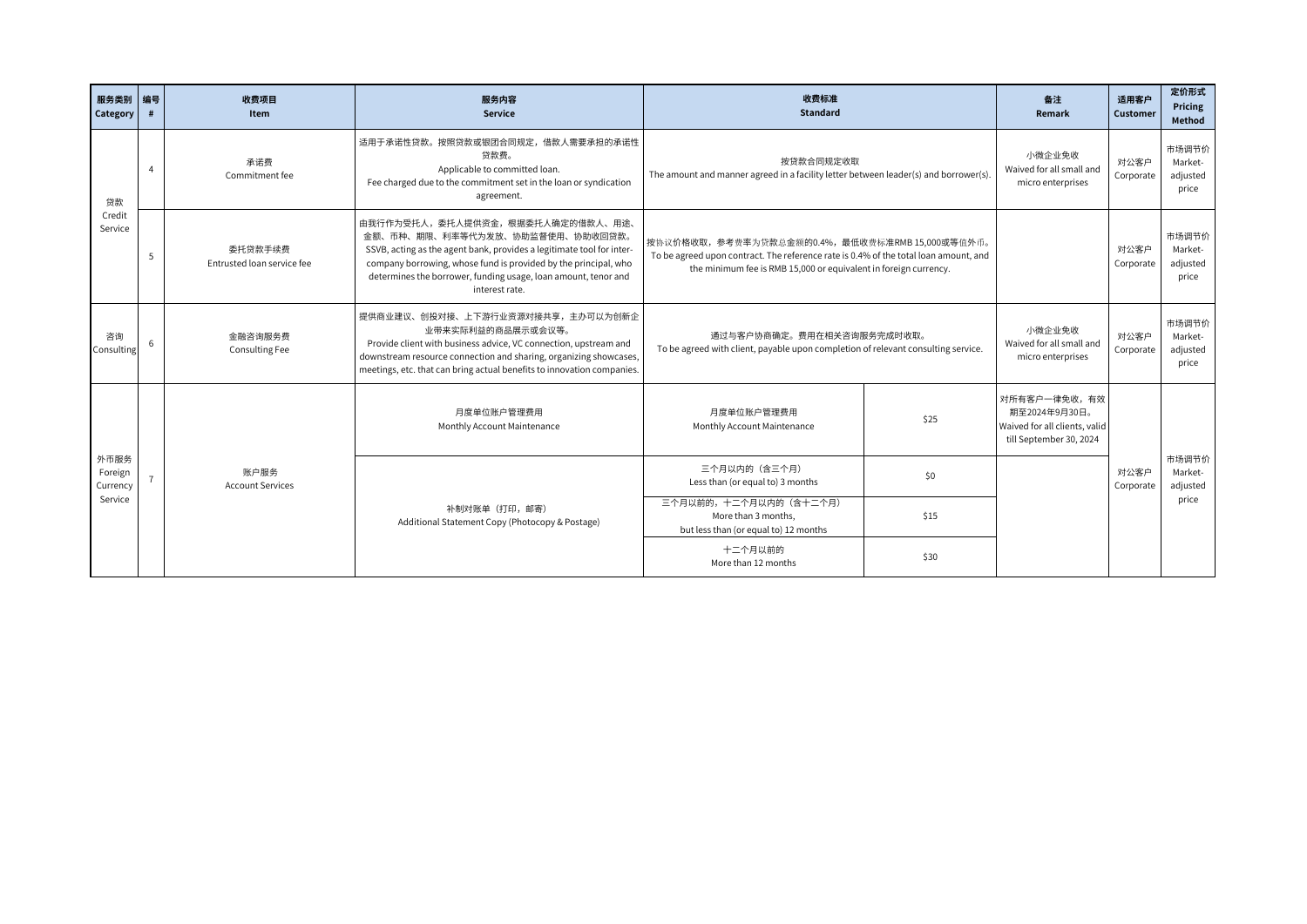| 服务类别<br>Category            | 编号             | 收费项目<br>Item                                                                                                                                                                                                                                                                                                                                                                                                                                                                                                                                                 | 服务内容<br>Service                                                                                                                                                                                                                                                          | 收费标准<br><b>Standard</b>                                                                                                                                                   |                                       | 备注<br>Remark                                                                              | 适用客户<br>Customer  | 定价形式<br>Pricing<br>Method             |
|-----------------------------|----------------|--------------------------------------------------------------------------------------------------------------------------------------------------------------------------------------------------------------------------------------------------------------------------------------------------------------------------------------------------------------------------------------------------------------------------------------------------------------------------------------------------------------------------------------------------------------|--------------------------------------------------------------------------------------------------------------------------------------------------------------------------------------------------------------------------------------------------------------------------|---------------------------------------------------------------------------------------------------------------------------------------------------------------------------|---------------------------------------|-------------------------------------------------------------------------------------------|-------------------|---------------------------------------|
| 贷款                          | $\overline{4}$ | 承诺费<br>Commitment fee                                                                                                                                                                                                                                                                                                                                                                                                                                                                                                                                        | 适用于承诺性贷款。按照贷款或银团合同规定,借款人需要承担的承诺性<br>贷款费。<br>Applicable to committed loan<br>Fee charged due to the commitment set in the loan or syndication<br>agreement.                                                                                                               | 按贷款合同规定收取<br>The amount and manner agreed in a facility letter between leader(s) and borrower(s).                                                                         |                                       | 小微企业免收<br>Waived for all small and<br>micro enterprises                                   | 对公客户<br>Corporate | 市场调节价<br>Market-<br>adjusted<br>price |
| Credit<br>Service           | 5              | 由我行作为受托人,委托人提供资金,根据委托人确定的借款人、用途、<br>金额、币种、期限、利率等代为发放、协助监督使用、协助收回贷款。<br>按协议价格收取, 参考费率为贷款总金额的0.4%, 最低收费标准RMB 15,000或等值外币。<br>委托贷款手续费<br>SSVB, acting as the agent bank, provides a legitimate tool for inter-<br>To be agreed upon contract. The reference rate is 0.4% of the total loan amount, and<br>company borrowing, whose fund is provided by the principal, who<br>Entrusted Joan service fee<br>the minimum fee is RMB 15,000 or equivalent in foreign currency.<br>determines the borrower, funding usage, loan amount, tenor and<br>interest rate. |                                                                                                                                                                                                                                                                          | 对公客户<br>Corporate                                                                                                                                                         | 市场调节价<br>Market-<br>adjusted<br>price |                                                                                           |                   |                                       |
| 咨询<br>Consulting            | 6              | 金融咨询服务费<br><b>Consulting Fee</b>                                                                                                                                                                                                                                                                                                                                                                                                                                                                                                                             | 提供商业建议、创投对接、上下游行业资源对接共享,主办可以为创新企<br>业带来实际利益的商品展示或会议等。<br>Provide client with business advice, VC connection, upstream and<br>downstream resource connection and sharing, organizing showcases,<br>meetings, etc. that can bring actual benefits to innovation companies. | 小微企业免收<br>通过与客户协商确定。费用在相关咨询服务完成时收取。<br>Waived for all small and<br>To be agreed with client, payable upon completion of relevant consulting service.<br>micro enterprises |                                       |                                                                                           | 对公客户<br>Corporate | 市场调节价<br>Market-<br>adjusted<br>price |
|                             |                |                                                                                                                                                                                                                                                                                                                                                                                                                                                                                                                                                              | 月度单位账户管理费用<br>Monthly Account Maintenance                                                                                                                                                                                                                                | 月度单位账户管理费用<br>Monthly Account Maintenance                                                                                                                                 | \$25                                  | 对所有客户一律免收,有效<br>期至2024年9月30日。<br>Waived for all clients, valid<br>till September 30, 2024 |                   |                                       |
| 外币服务<br>Foreign<br>Currency |                | 账户服务<br><b>Account Services</b>                                                                                                                                                                                                                                                                                                                                                                                                                                                                                                                              |                                                                                                                                                                                                                                                                          | 三个月以内的(含三个月)<br>Less than (or equal to) 3 months                                                                                                                          | \$0                                   |                                                                                           | 对公客户<br>Corporate | 市场调节价<br>Market-<br>adjusted          |
| Service                     |                |                                                                                                                                                                                                                                                                                                                                                                                                                                                                                                                                                              | 补制对账单 (打印,邮寄)<br>Additional Statement Copy (Photocopy & Postage)                                                                                                                                                                                                         | 三个月以前的, 十二个月以内的 (含十二个月)<br>More than 3 months.<br>but less than (or equal to) 12 months                                                                                   | \$15                                  |                                                                                           |                   | price                                 |
|                             |                |                                                                                                                                                                                                                                                                                                                                                                                                                                                                                                                                                              |                                                                                                                                                                                                                                                                          | 十二个月以前的<br>More than 12 months                                                                                                                                            | \$30                                  |                                                                                           |                   |                                       |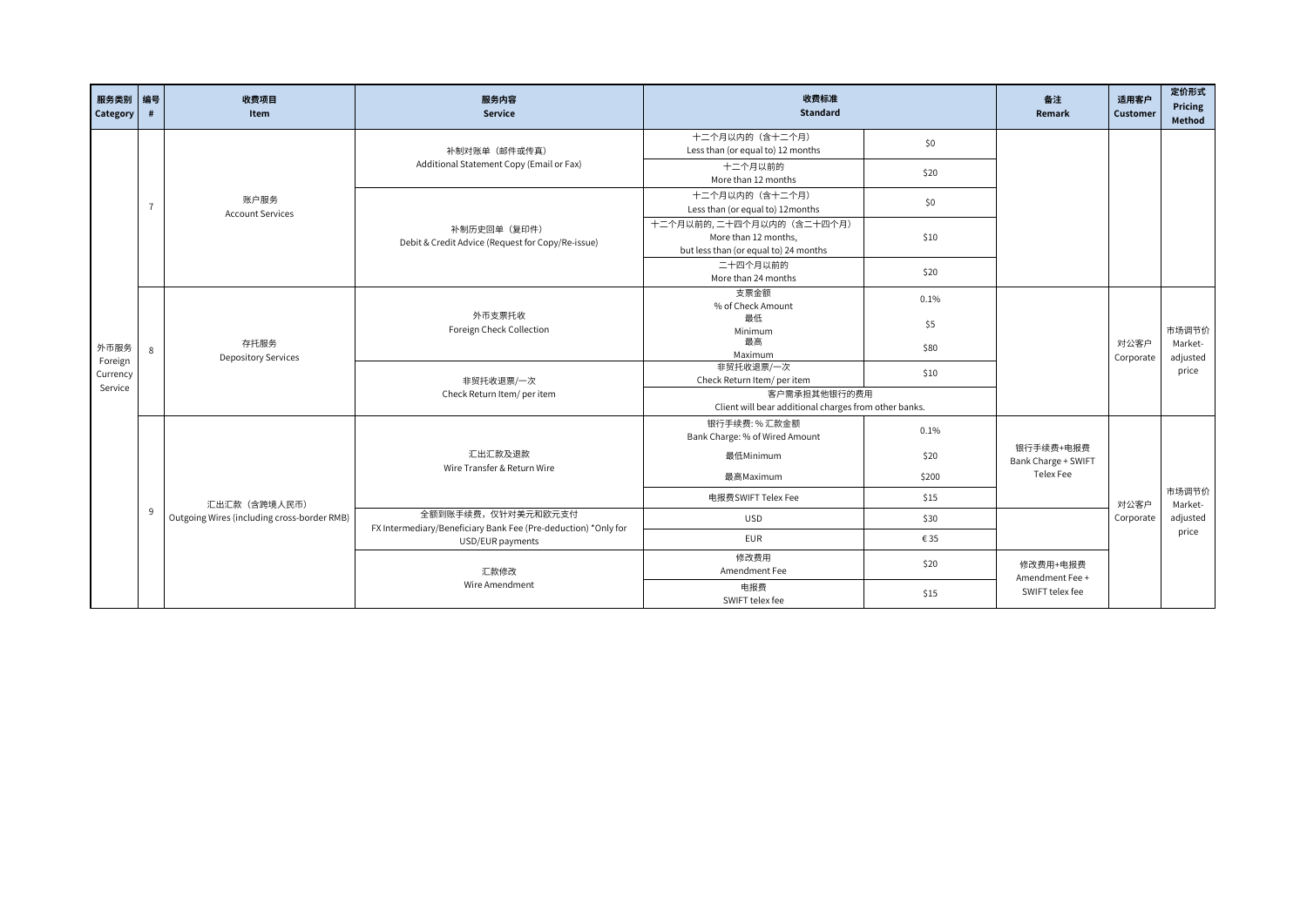| 服务类别 编号<br>Category | #              | 收费项目<br>Item                                | 服务内容<br>Service                                                                      | 收费标准<br><b>Standard</b>                                               |                           | 备注<br>Remark                     | 适用客户<br>Customer  | 定价形式<br>Pricing<br>Method |  |
|---------------------|----------------|---------------------------------------------|--------------------------------------------------------------------------------------|-----------------------------------------------------------------------|---------------------------|----------------------------------|-------------------|---------------------------|--|
|                     |                |                                             | 补制对账单 (邮件或传真)                                                                        | 十二个月以内的(含十二个月)<br>Less than (or equal to) 12 months                   | \$0                       |                                  |                   |                           |  |
|                     |                |                                             | Additional Statement Copy (Email or Fax)                                             | 十二个月以前的<br>More than 12 months                                        | \$20                      |                                  |                   |                           |  |
|                     | $\overline{7}$ | 账户服务<br><b>Account Services</b>             |                                                                                      | 十二个月以内的(含十二个月)<br>Less than (or equal to) 12months                    | \$0                       |                                  |                   |                           |  |
|                     |                |                                             | 补制历史回单 (复印件)<br>Debit & Credit Advice (Request for Copy/Re-issue)                    | More than 12 months,<br>but less than (or equal to) 24 months         | 十二个月以前的, 二十四个月以内的(含二十四个月) | \$10                             |                   |                           |  |
|                     |                |                                             |                                                                                      | 二十四个月以前的<br>More than 24 months                                       | \$20                      |                                  |                   |                           |  |
|                     |                | 存托服务<br><b>Depository Services</b>          |                                                                                      | 支票金额<br>% of Check Amount                                             | 0.1%                      |                                  |                   |                           |  |
|                     |                |                                             | 外币支票托收<br>Foreign Check Collection                                                   | 最低<br>Minimum                                                         | \$5                       |                                  |                   | 市场调节价                     |  |
| 外币服务<br>Foreign     | $\mathbf{g}$   |                                             |                                                                                      | 最高<br>Maximum                                                         | \$80                      |                                  | 对公客户<br>Corporate | Market-<br>adjusted       |  |
| Currency<br>Service |                |                                             | 非贸托收退票/一次<br>Check Return Item/ per item                                             | 非贸托收退票/一次<br>Check Return Item/ per item                              | \$10                      |                                  |                   | price                     |  |
|                     |                |                                             |                                                                                      | 客户需承担其他银行的费用<br>Client will bear additional charges from other banks. |                           |                                  |                   |                           |  |
|                     |                |                                             |                                                                                      | 银行手续费:%汇款金额<br>Bank Charge: % of Wired Amount                         | 0.1%                      |                                  |                   |                           |  |
|                     |                |                                             | 汇出汇款及退款<br>Wire Transfer & Return Wire                                               | 最低Minimum                                                             | \$20                      | 银行手续费+电报费<br>Bank Charge + SWIFT |                   |                           |  |
|                     |                |                                             |                                                                                      | 最高Maximum                                                             | \$200                     | Telex Fee                        |                   |                           |  |
|                     |                | 汇出汇款(含跨境人民币)                                |                                                                                      | 电报费SWIFT Telex Fee                                                    | \$15                      |                                  | 对公客户              | 市场调节价<br>Market-          |  |
|                     | 9              | Outgoing Wires (including cross-border RMB) | 全额到账手续费,仅针对美元和欧元支付<br>FX Intermediary/Beneficiary Bank Fee (Pre-deduction) *Only for | <b>USD</b>                                                            | \$30                      |                                  | Corporate         | adjusted<br>price         |  |
|                     |                |                                             | USD/EUR payments                                                                     | <b>EUR</b>                                                            | € 35                      |                                  |                   |                           |  |
|                     |                |                                             | 汇款修改                                                                                 | 修改费用<br>Amendment Fee                                                 | \$20                      | 修改费用+电报费<br>Amendment Fee +      |                   |                           |  |
|                     |                |                                             | Wire Amendment                                                                       | 电报费<br>SWIFT telex fee                                                | \$15                      | SWIFT telex fee                  |                   |                           |  |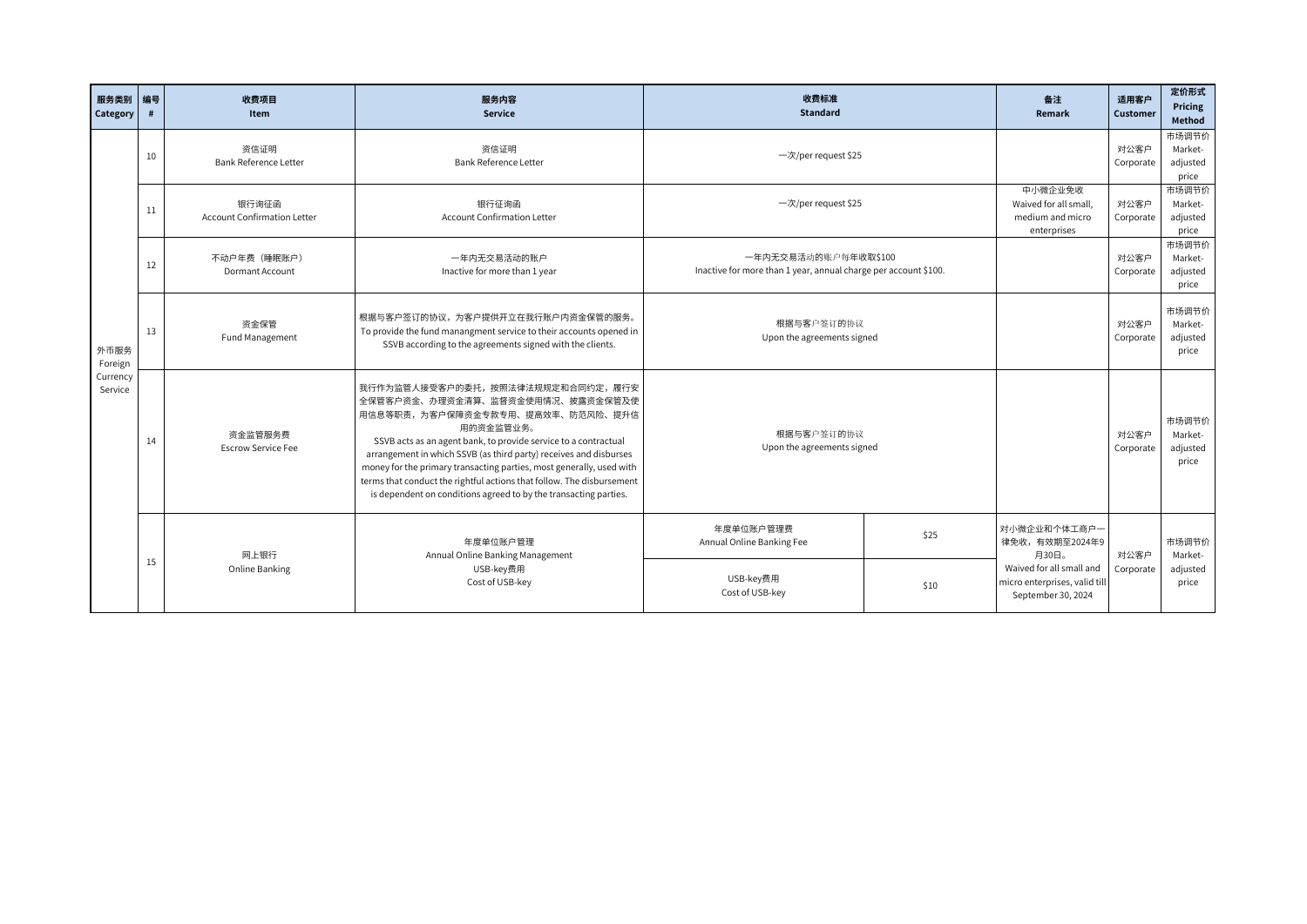| 服务类别<br>Category                       | 编号<br># | 收费项目<br>Item                                | 服务内容<br><b>Service</b>                                                                                                                                                                                                                                                                                                                                                                                                                                                             | 收费标准<br><b>Standard</b>                                                                 | 备注<br>Remark                                                                    | 适用客户<br><b>Customer</b> | 定价形式<br>Pricing<br>Method             |
|----------------------------------------|---------|---------------------------------------------|------------------------------------------------------------------------------------------------------------------------------------------------------------------------------------------------------------------------------------------------------------------------------------------------------------------------------------------------------------------------------------------------------------------------------------------------------------------------------------|-----------------------------------------------------------------------------------------|---------------------------------------------------------------------------------|-------------------------|---------------------------------------|
|                                        | 10      | 资信证明<br>Bank Reference Letter               | 资信证明<br><b>Bank Reference Letter</b>                                                                                                                                                                                                                                                                                                                                                                                                                                               | 一次/per request \$25                                                                     |                                                                                 | 对公客户<br>Corporate       | 市场调节价<br>Market-<br>adjusted<br>price |
|                                        | 11      | 银行询征函<br><b>Account Confirmation Letter</b> | 银行征询函<br><b>Account Confirmation Letter</b>                                                                                                                                                                                                                                                                                                                                                                                                                                        | 一次/per request \$25                                                                     | 中小微企业免收<br>Waived for all small.<br>medium and micro<br>enterprises             | 对公客户<br>Corporate       | 市场调节价<br>Market-<br>adjusted<br>price |
|                                        | 12      | 不动户年费 (睡眠账户)<br>Dormant Account             | 一年内无交易活动的账户<br>Inactive for more than 1 year                                                                                                                                                                                                                                                                                                                                                                                                                                       | 一年内无交易活动的账户每年收取\$100<br>Inactive for more than 1 year, annual charge per account \$100. |                                                                                 | 对公客户<br>Corporate       | 市场调节价<br>Market-<br>adjusted<br>price |
| 外币服务<br>Foreign<br>Currency<br>Service | 13      | 资金保管<br>Fund Management                     | 根据与客户签订的协议,为客户提供开立在我行账户内资金保管的服务。<br>To provide the fund manangment service to their accounts opened in<br>SSVB according to the agreements signed with the clients.                                                                                                                                                                                                                                                                                                                | 根据与客户签订的协议<br>Upon the agreements signed                                                |                                                                                 | 对公客户<br>Corporate       | 市场调节价<br>Market-<br>adjusted<br>price |
|                                        | 14      | 资金监管服务费<br><b>Escrow Service Fee</b>        | 我行作为监管人接受客户的委托,按照法律法规规定和合同约定,履行安<br>全保管客户资金、办理资金清算、监督资金使用情况、披露资金保管及使<br>用信息等职责,为客户保障资金专款专用、提高效率、防范风险、提升信<br>用的资金监管业务。<br>SSVB acts as an agent bank, to provide service to a contractual<br>arrangement in which SSVB (as third party) receives and disburses<br>money for the primary transacting parties, most generally, used with<br>terms that conduct the rightful actions that follow. The disbursement<br>is dependent on conditions agreed to by the transacting parties. | 根据与客户签订的协议<br>Upon the agreements signed                                                |                                                                                 | 对公客户<br>Corporate       | 市场调节价<br>Market-<br>adjusted<br>price |
|                                        |         | 网上银行                                        | 年度单位账户管理<br>Annual Online Banking Management                                                                                                                                                                                                                                                                                                                                                                                                                                       | 年度单位账户管理费<br>\$25<br>Annual Online Banking Fee                                          | 对小微企业和个体工商户一<br>律免收,有效期至2024年9<br>月30日。                                         | 对公客户                    | 市场调节价<br>Market-                      |
|                                        | 15      | Online Banking                              | USB-key费用<br>Cost of USB-key                                                                                                                                                                                                                                                                                                                                                                                                                                                       | USB-key费用<br>\$10<br>Cost of USB-key                                                    | Waived for all small and<br>micro enterprises, valid till<br>September 30, 2024 | Corporate               | adjusted<br>price                     |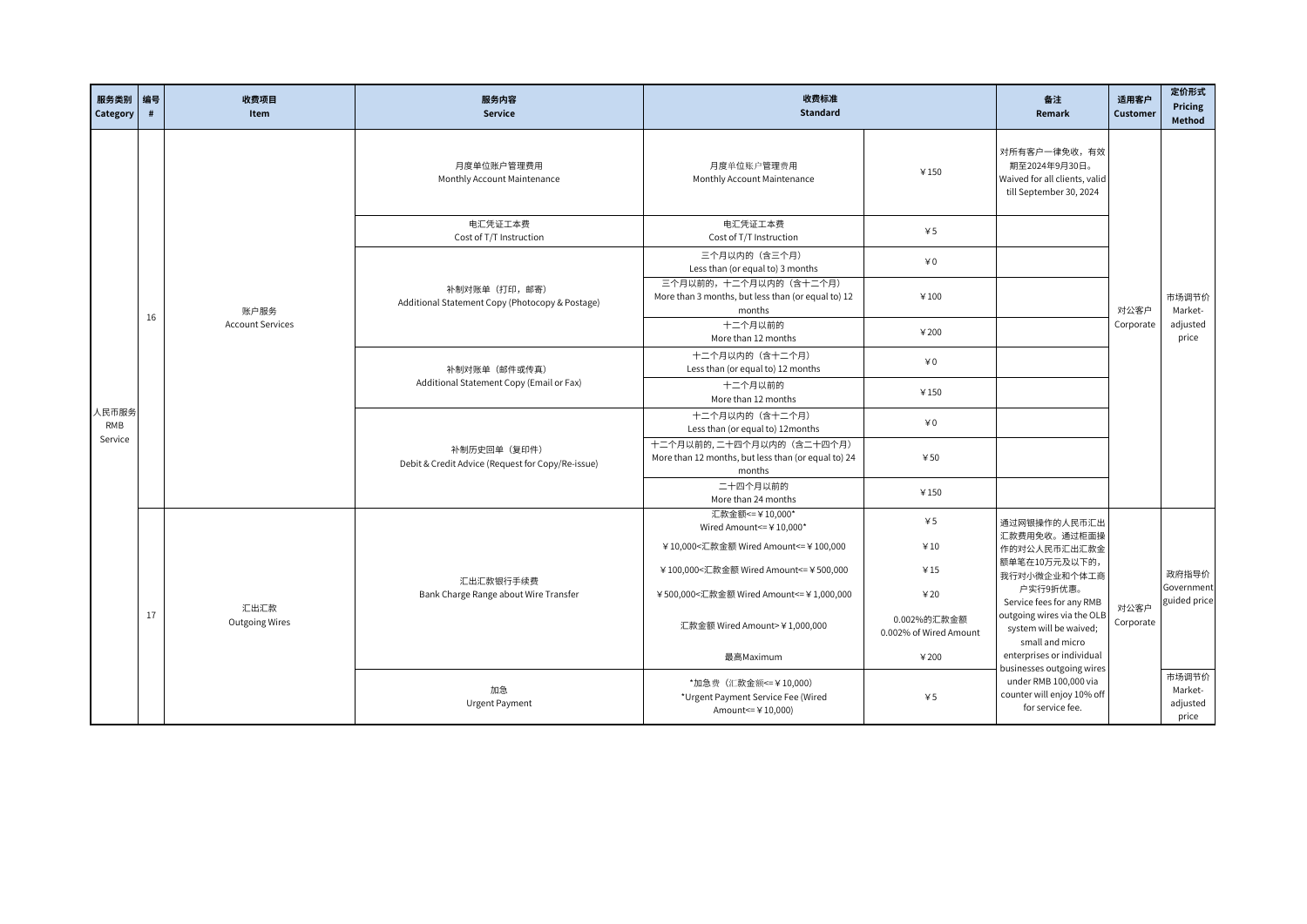| 服务类别 编号<br>Category | #  | 收费项目<br>Item            | 服务内容<br><b>Service</b>                                            | 收费标准<br><b>Standard</b>                                                                       |                                       | 备注<br>Remark                                                            | 适用客户<br>Customer  | 定价形式<br>Pricing<br>Method             |  |  |                                           |                                           |      |                                                                                           |  |  |
|---------------------|----|-------------------------|-------------------------------------------------------------------|-----------------------------------------------------------------------------------------------|---------------------------------------|-------------------------------------------------------------------------|-------------------|---------------------------------------|--|--|-------------------------------------------|-------------------------------------------|------|-------------------------------------------------------------------------------------------|--|--|
|                     |    |                         |                                                                   |                                                                                               |                                       |                                                                         |                   |                                       |  |  | 月度单位账户管理费用<br>Monthly Account Maintenance | 月度单位账户管理费用<br>Monthly Account Maintenance | ¥150 | 对所有客户一律免收,有效<br>期至2024年9月30日。<br>Waived for all clients, valid<br>till September 30, 2024 |  |  |
|                     |    |                         | 电汇凭证工本费<br>Cost of T/T Instruction                                | 电汇凭证工本费<br>Cost of T/T Instruction                                                            | 45                                    |                                                                         |                   |                                       |  |  |                                           |                                           |      |                                                                                           |  |  |
|                     |    |                         |                                                                   | 三个月以内的 (含三个月)<br>Less than (or equal to) 3 months                                             | $*0$                                  |                                                                         |                   |                                       |  |  |                                           |                                           |      |                                                                                           |  |  |
|                     |    | 账户服务                    | 补制对账单 (打印,邮寄)<br>Additional Statement Copy (Photocopy & Postage)  | 三个月以前的,十二个月以内的(含十二个月)<br>More than 3 months, but less than (or equal to) 12<br>¥100<br>months |                                       | 对公客户                                                                    | 市场调节价<br>Market-  |                                       |  |  |                                           |                                           |      |                                                                                           |  |  |
|                     | 16 | <b>Account Services</b> |                                                                   | 十二个月以前的<br>More than 12 months                                                                | ¥200                                  |                                                                         | Corporate         | adjusted<br>price                     |  |  |                                           |                                           |      |                                                                                           |  |  |
|                     |    |                         | 补制对账单 (邮件或传真)                                                     | 十二个月以内的(含十二个月)<br>Less than (or equal to) 12 months                                           | $40^{\circ}$                          |                                                                         |                   |                                       |  |  |                                           |                                           |      |                                                                                           |  |  |
|                     |    |                         | Additional Statement Copy (Email or Fax)                          | 十二个月以前的<br>More than 12 months                                                                | ¥150                                  |                                                                         |                   |                                       |  |  |                                           |                                           |      |                                                                                           |  |  |
| 人民币服务<br>RMB        |    |                         |                                                                   | 十二个月以内的(含十二个月)<br>Less than (or equal to) 12months                                            | $*0$                                  |                                                                         |                   |                                       |  |  |                                           |                                           |      |                                                                                           |  |  |
| Service             |    |                         | 补制历史回单 (复印件)<br>Debit & Credit Advice (Request for Copy/Re-issue) | 十二个月以前的, 二十四个月以内的(含二十四个月)<br>More than 12 months, but less than (or equal to) 24<br>months    | 450                                   |                                                                         |                   |                                       |  |  |                                           |                                           |      |                                                                                           |  |  |
|                     |    |                         |                                                                   | 二十四个月以前的<br>More than 24 months                                                               | ¥150                                  |                                                                         |                   |                                       |  |  |                                           |                                           |      |                                                                                           |  |  |
|                     |    |                         |                                                                   | 汇款金额 <= ¥10,000*<br>Wired Amount <= ¥10,000*                                                  | 45                                    | 通过网银操作的人民币汇出<br>汇款费用免收。通过柜面操                                            |                   |                                       |  |  |                                           |                                           |      |                                                                                           |  |  |
|                     |    |                         |                                                                   | ¥10,000<汇款金额 Wired Amount<=¥100,000                                                           | ¥10                                   | 作的对公人民币汇出汇款金<br>额单笔在10万元及以下的,                                           |                   |                                       |  |  |                                           |                                           |      |                                                                                           |  |  |
|                     |    |                         | 汇出汇款银行手续费                                                         | ¥100,000<汇款金额 Wired Amount<= ¥500,000                                                         | ¥15                                   | 我行对小微企业和个体工商                                                            |                   | 政府指导价                                 |  |  |                                           |                                           |      |                                                                                           |  |  |
|                     |    |                         | Bank Charge Range about Wire Transfer                             | ¥500,000<汇款金额 Wired Amount<=¥1,000,000                                                        | 420                                   | 户实行9折优惠。<br>Service fees for any RMB                                    |                   | Government<br>guided price            |  |  |                                           |                                           |      |                                                                                           |  |  |
|                     | 17 | 汇出汇款<br>Outgoing Wires  |                                                                   | 汇款金额 Wired Amount>¥1,000,000                                                                  | 0.002%的汇款金额<br>0.002% of Wired Amount | outgoing wires via the OLB<br>system will be waived;<br>small and micro | 对公客户<br>Corporate |                                       |  |  |                                           |                                           |      |                                                                                           |  |  |
|                     |    |                         |                                                                   | 最高Maximum                                                                                     | ¥200                                  | enterprises or individual<br>businesses outgoing wires                  |                   |                                       |  |  |                                           |                                           |      |                                                                                           |  |  |
|                     |    |                         | 加急<br>Urgent Payment                                              | *加急费 (汇款金额 <= ¥10,000)<br>*Urgent Payment Service Fee (Wired<br>Amount <= ¥10,000)            | 45                                    | under RMB 100,000 via<br>counter will enjoy 10% off<br>for service fee. |                   | 市场调节价<br>Market-<br>adjusted<br>price |  |  |                                           |                                           |      |                                                                                           |  |  |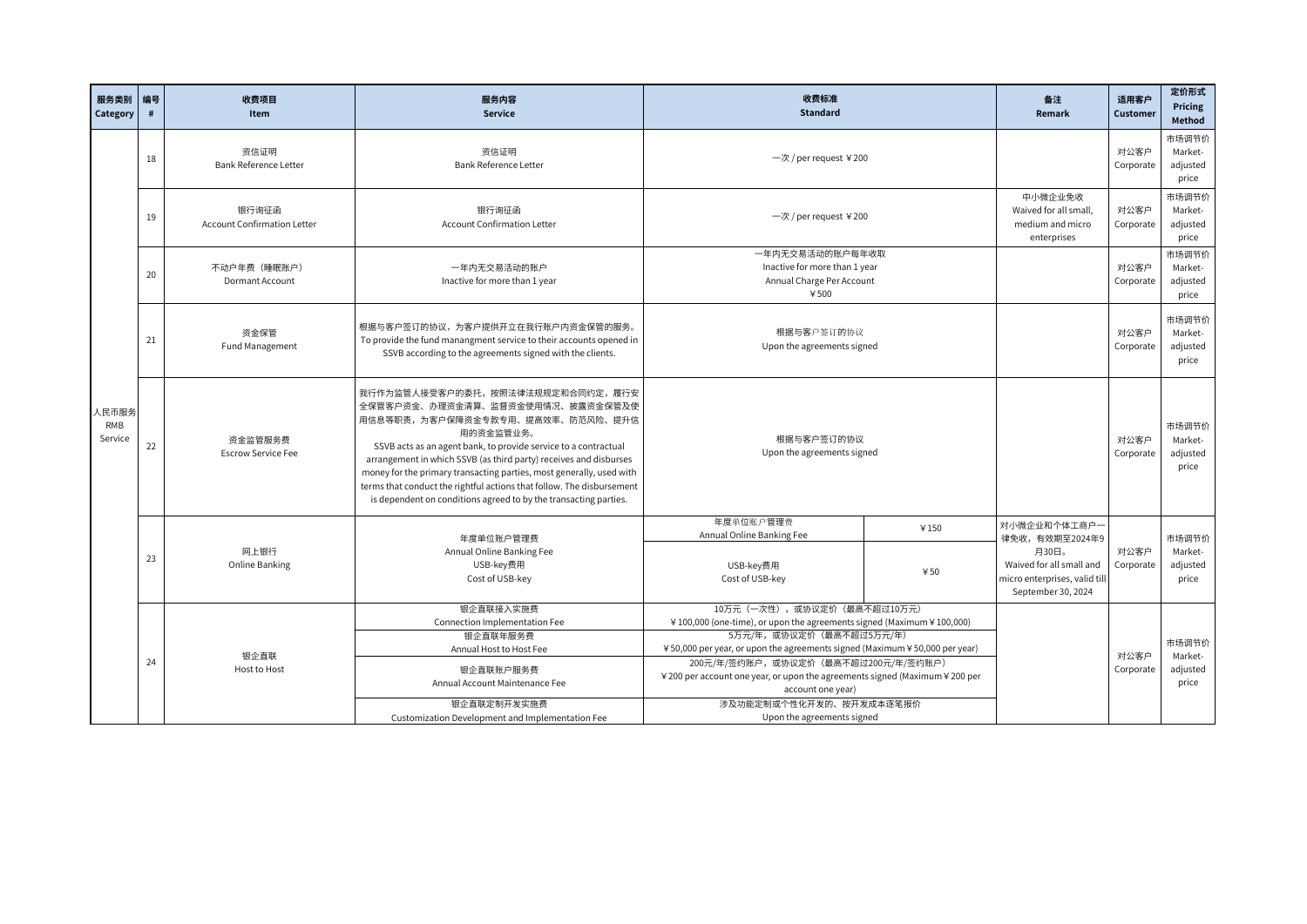| 服务类别编号<br>Category             | #  | 收费项目<br>Item                                | 服务内容<br><b>Service</b>                                                                                                                                                                                                                                                                                                                                                                                                                                                             | 收费标准<br><b>Standard</b>                                                                                                                                                                                                                                                                                                                                                                                               |             | 备注<br>Remark                                                                                                               | 适用客户<br>Customer  | 定价形式<br>Pricing<br>Method             |
|--------------------------------|----|---------------------------------------------|------------------------------------------------------------------------------------------------------------------------------------------------------------------------------------------------------------------------------------------------------------------------------------------------------------------------------------------------------------------------------------------------------------------------------------------------------------------------------------|-----------------------------------------------------------------------------------------------------------------------------------------------------------------------------------------------------------------------------------------------------------------------------------------------------------------------------------------------------------------------------------------------------------------------|-------------|----------------------------------------------------------------------------------------------------------------------------|-------------------|---------------------------------------|
|                                | 18 | 资信证明<br>Bank Reference Letter               | 资信证明<br><b>Bank Reference Letter</b>                                                                                                                                                                                                                                                                                                                                                                                                                                               | 一次 / per request ¥200                                                                                                                                                                                                                                                                                                                                                                                                 |             |                                                                                                                            | 对公客户<br>Corporate | 市场调节价<br>Market-<br>adjusted<br>price |
|                                | 19 | 银行询征函<br><b>Account Confirmation Letter</b> | 银行询征函<br><b>Account Confirmation Letter</b>                                                                                                                                                                                                                                                                                                                                                                                                                                        | 一次 / per request ¥200                                                                                                                                                                                                                                                                                                                                                                                                 |             | 中小微企业免收<br>Waived for all small,<br>medium and micro<br>enterprises                                                        | 对公客户<br>Corporate | 市场调节价<br>Market-<br>adjusted<br>price |
| 人民币服务<br><b>RMB</b><br>Service | 20 | 不动户年费 (睡眠账户)<br><b>Dormant Account</b>      | 一年内无交易活动的账户<br>Inactive for more than 1 year                                                                                                                                                                                                                                                                                                                                                                                                                                       | 一年内无交易活动的账户每年收取<br>Inactive for more than 1 year<br>Annual Charge Per Account<br>¥500                                                                                                                                                                                                                                                                                                                                 |             |                                                                                                                            | 对公客户<br>Corporate | 市场调节价<br>Market-<br>adjusted<br>price |
|                                | 21 | 资金保管<br>Fund Management                     | 根据与客户签订的协议,为客户提供开立在我行账户内资金保管的服务。<br>To provide the fund manangment service to their accounts opened in<br>SSVB according to the agreements signed with the clients.                                                                                                                                                                                                                                                                                                                | 根据与客户签订的协议<br>Upon the agreements signed                                                                                                                                                                                                                                                                                                                                                                              |             |                                                                                                                            | 对公客户<br>Corporate | 市场调节价<br>Market-<br>adjusted<br>price |
|                                | 22 | 资金监管服务费<br><b>Escrow Service Fee</b>        | 我行作为监管人接受客户的委托,按照法律法规规定和合同约定,履行安<br>全保管客户资金、办理资金清算、监督资金使用情况、披露资金保管及使<br>用信息等职责,为客户保障资金专款专用、提高效率、防范风险、提升信<br>用的资金监管业务。<br>SSVB acts as an agent bank, to provide service to a contractual<br>arrangement in which SSVB (as third party) receives and disburses<br>money for the primary transacting parties, most generally, used with<br>terms that conduct the rightful actions that follow. The disbursement<br>is dependent on conditions agreed to by the transacting parties. | 根据与客户签订的协议<br>Upon the agreements signed                                                                                                                                                                                                                                                                                                                                                                              |             |                                                                                                                            | 对公客户<br>Corporate | 市场调节价<br>Market-<br>adjusted<br>price |
|                                | 23 | 网上银行<br>Online Banking                      | 年度单位账户管理费<br>Annual Online Banking Fee<br>USB-key费用<br>Cost of USB-key                                                                                                                                                                                                                                                                                                                                                                                                             | 年度单位账户管理费<br>Annual Online Banking Fee<br>USB-key费用<br>Cost of USB-key                                                                                                                                                                                                                                                                                                                                                | ¥150<br>450 | 对小微企业和个体工商户一<br>律免收,有效期至2024年9<br>月30日。<br>Waived for all small and<br>micro enterprises, valid till<br>September 30, 2024 | 对公客户<br>Corporate | 市场调节价<br>Market-<br>adjusted<br>price |
|                                | 24 | 银企直联<br>Host to Host                        | 银企直联接入实施费<br>Connection Implementation Fee<br>银企直联年服务费<br>Annual Host to Host Fee<br>银企直联账户服务费<br>Annual Account Maintenance Fee<br>银企直联定制开发实施费<br>Customization Development and Implementation Fee                                                                                                                                                                                                                                                                                | 10万元 (一次性),或协议定价 (最高不超过10万元)<br>¥ 100,000 (one-time), or upon the agreements signed (Maximum ¥ 100,000)<br>5万元/年,或协议定价(最高不超过5万元/年)<br>¥50,000 per year, or upon the agreements signed (Maximum ¥50,000 per year)<br>200元/年/签约账户,或协议定价(最高不超过200元/年/签约账户)<br>¥ 200 per account one year, or upon the agreements signed (Maximum ¥ 200 per<br>account one year)<br>涉及功能定制或个性化开发的、按开发成本逐笔报价<br>Upon the agreements signed |             |                                                                                                                            | 对公客户<br>Corporate | 市场调节价<br>Market-<br>adjusted<br>price |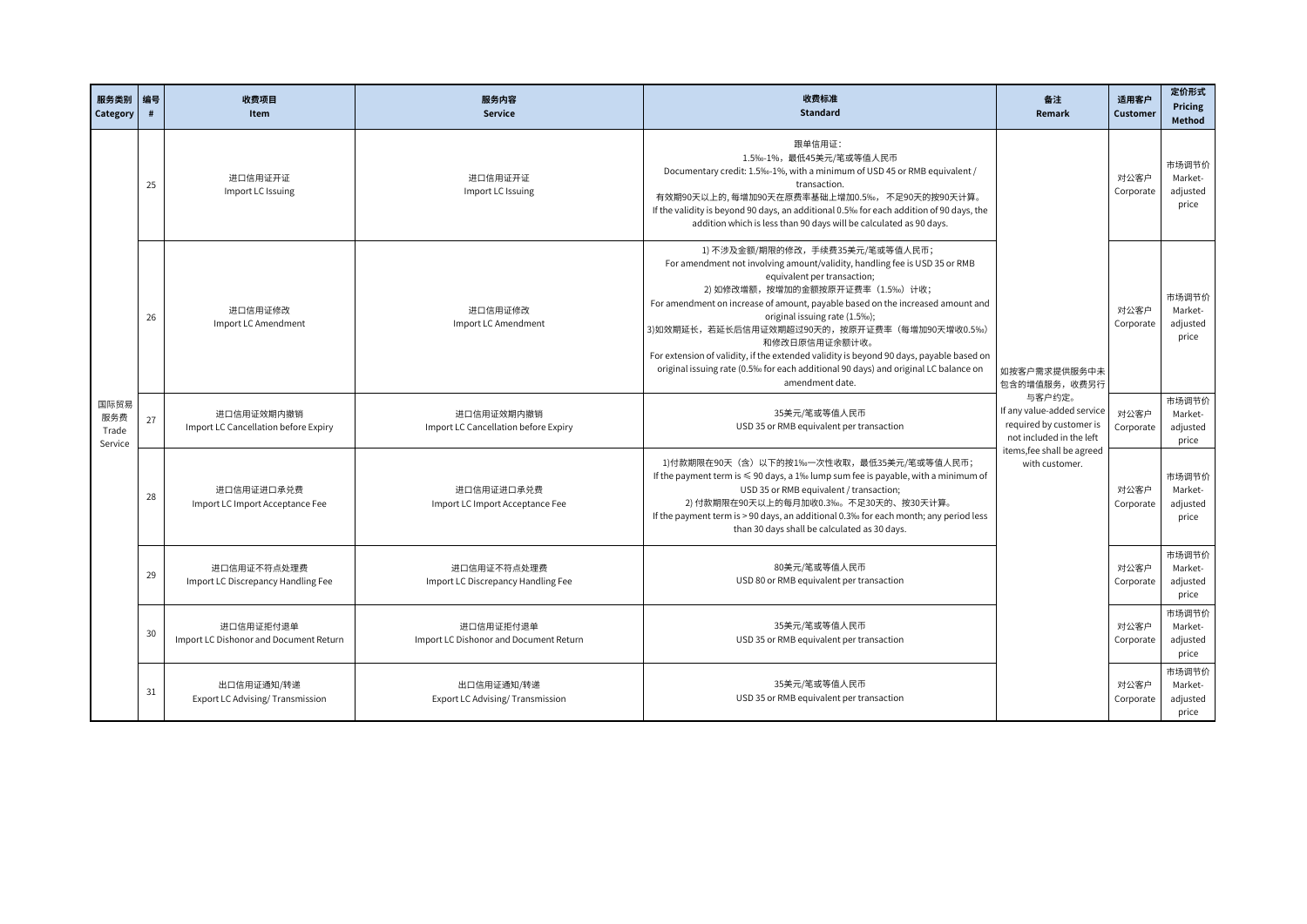| 服务类别<br>Category                | 编号<br># | 收费项目<br>Item                                        | 服务内容<br><b>Service</b>                                                                                          | 收费标准<br><b>Standard</b>                                                                                                                                                                                                                                                                                                                                                                                                                                                                                                                                                   | 备注<br>Remark                                                                                | 适用客户<br>Customer  | 定价形式<br>Pricing<br><b>Method</b>      |
|---------------------------------|---------|-----------------------------------------------------|-----------------------------------------------------------------------------------------------------------------|---------------------------------------------------------------------------------------------------------------------------------------------------------------------------------------------------------------------------------------------------------------------------------------------------------------------------------------------------------------------------------------------------------------------------------------------------------------------------------------------------------------------------------------------------------------------------|---------------------------------------------------------------------------------------------|-------------------|---------------------------------------|
|                                 | 25      | 进口信用证开证<br>Import LC Issuing                        | 进口信用证开证<br>Import LC Issuing                                                                                    | 跟单信用证:<br>1.5%-1%,最低45美元/笔或等值人民币<br>Documentary credit: 1.5%-1%, with a minimum of USD 45 or RMB equivalent /<br>transaction.<br>有效期90天以上的,每增加90天在原费率基础上增加0.5‰,不足90天的按90天计算。<br>If the validity is beyond 90 days, an additional 0.5% for each addition of 90 days, the<br>addition which is less than 90 days will be calculated as 90 days.                                                                                                                                                                                                                             |                                                                                             | 对公客户<br>Corporate | 市场调节价<br>Market-<br>adjusted<br>price |
|                                 | 26      | 进口信用证修改<br>Import LC Amendment                      | 进口信用证修改<br>Import LC Amendment                                                                                  | 1) 不涉及金额/期限的修改,手续费35美元/笔或等值人民币;<br>For amendment not involving amount/validity, handling fee is USD 35 or RMB<br>equivalent per transaction;<br>2) 如修改增额,按增加的金额按原开证费率 (1.5%) 计收;<br>For amendment on increase of amount, payable based on the increased amount and<br>original issuing rate (1.5%);<br>3)如效期延长,若延长后信用证效期超过90天的,按原开证费率(每增加90天增收0.5%)<br>和修改日原信用证余额计收。<br>For extension of validity, if the extended validity is beyond 90 days, payable based on<br>original issuing rate (0.5% for each additional 90 days) and original LC balance on<br>amendment date. | 如按客户需求提供服务中未<br>包含的增值服务,收费另行                                                                | 对公客户<br>Corporate | 市场调节价<br>Market-<br>adjusted<br>price |
| 国际贸易<br>服务费<br>Trade<br>Service | 27      | 进口信用证效期内撤销<br>Import LC Cancellation before Expiry  | 进口信用证效期内撤销<br>Import LC Cancellation before Expiry                                                              | 35美元/笔或等值人民币<br>USD 35 or RMB equivalent per transaction                                                                                                                                                                                                                                                                                                                                                                                                                                                                                                                  | 与客户约定。<br>If any value-added service<br>required by customer is<br>not included in the left | 对公客户<br>Corporate | 市场调节价<br>Market-<br>adjusted<br>price |
|                                 | 28      | 进口信用证进口承兑费<br>Import LC Import Acceptance Fee       | 进口信用证进口承兑费<br>Import LC Import Acceptance Fee                                                                   | 1)付款期限在90天(含)以下的按1‰一次性收取,最低35美元/笔或等值人民币;<br>If the payment term is $\leqslant$ 90 days, a 1% lump sum fee is payable, with a minimum of<br>USD 35 or RMB equivalent / transaction;<br>2) 付款期限在90天以上的每月加收0.3‰。不足30天的、按30天计算。<br>If the payment term is > 90 days, an additional 0.3% for each month; any period less<br>than 30 days shall be calculated as 30 days.                                                                                                                                                                                                       | items, fee shall be agreed<br>with customer.                                                | 对公客户<br>Corporate | 市场调节价<br>Market-<br>adjusted<br>price |
|                                 | 29      | 进口信用证不符点处理费<br>Import LC Discrepancy Handling Fee   | 进口信用证不符点处理费<br>Import LC Discrepancy Handling Fee                                                               | 80美元/笔或等值人民币<br>USD 80 or RMB equivalent per transaction                                                                                                                                                                                                                                                                                                                                                                                                                                                                                                                  |                                                                                             | 对公客户<br>Corporate | 市场调节价<br>Market-<br>adjusted<br>price |
|                                 | 30      | 进口信用证拒付退单<br>Import LC Dishonor and Document Return | 35美元/笔或等值人民币<br>进口信用证拒付退单<br>USD 35 or RMB equivalent per transaction<br>Import LC Dishonor and Document Return |                                                                                                                                                                                                                                                                                                                                                                                                                                                                                                                                                                           |                                                                                             | 对公客户<br>Corporate | 市场调节价<br>Market-<br>adjusted<br>price |
|                                 | 31      | 出口信用证通知/转递<br>Export LC Advising/Transmission       | 出口信用证通知/转递<br>Export LC Advising/Transmission                                                                   | 35美元/笔或等值人民币<br>USD 35 or RMB equivalent per transaction                                                                                                                                                                                                                                                                                                                                                                                                                                                                                                                  |                                                                                             | 对公客户<br>Corporate | 市场调节价<br>Market-<br>adjusted<br>price |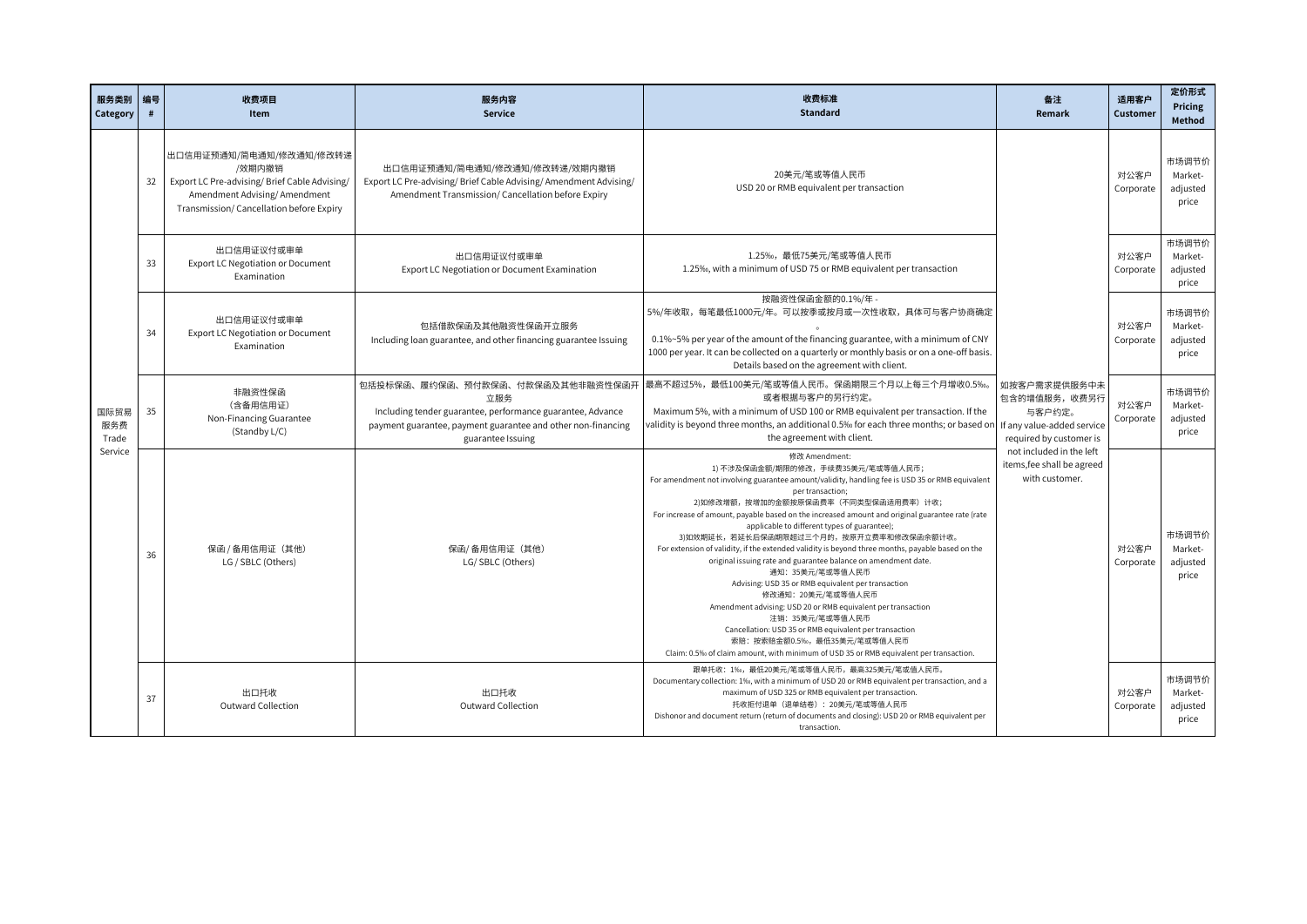| 服务类别 编号<br>Category             | #  | 收费项目<br>Item                                                                                                                                                  | 服务内容<br>Service                                                                                                                                                                            | 收费标准<br><b>Standard</b>                                                                                                                                                                                                                                                                                                                                                                                                                                                                                                                                                                                                                                                                                                                                                                                                                                                                                                                                      | 备注<br>Remark                                                             | 适用客户<br>Customer  | 定价形式<br>Pricing<br>Method             |                                       |
|---------------------------------|----|---------------------------------------------------------------------------------------------------------------------------------------------------------------|--------------------------------------------------------------------------------------------------------------------------------------------------------------------------------------------|--------------------------------------------------------------------------------------------------------------------------------------------------------------------------------------------------------------------------------------------------------------------------------------------------------------------------------------------------------------------------------------------------------------------------------------------------------------------------------------------------------------------------------------------------------------------------------------------------------------------------------------------------------------------------------------------------------------------------------------------------------------------------------------------------------------------------------------------------------------------------------------------------------------------------------------------------------------|--------------------------------------------------------------------------|-------------------|---------------------------------------|---------------------------------------|
| 国际贸易<br>服务费<br>Trade<br>Service | 32 | 出口信用证预通知/简电通知/修改通知/修改转递<br>/效期内撤销<br>Export LC Pre-advising/Brief Cable Advising/<br>Amendment Advising/Amendment<br>Transmission/ Cancellation before Expiry | 出口信用证预通知/简电通知/修改通知/修改转递/效期内撤销<br>Export LC Pre-advising/ Brief Cable Advising/ Amendment Advising/<br>Amendment Transmission/ Cancellation before Expiry                                   | 20美元/笔或等值人民币<br>USD 20 or RMB equivalent per transaction                                                                                                                                                                                                                                                                                                                                                                                                                                                                                                                                                                                                                                                                                                                                                                                                                                                                                                     |                                                                          |                   | 对公客户<br>Corporate                     | 市场调节价<br>Market-<br>adjusted<br>price |
|                                 | 33 | 出口信用证议付或审单<br>Export LC Negotiation or Document<br>Examination                                                                                                | 出口信用证议付或审单<br>Export LC Negotiation or Document Examination                                                                                                                                | 1.25‰,最低75美元/笔或等值人民币<br>1.25‰, with a minimum of USD 75 or RMB equivalent per transaction                                                                                                                                                                                                                                                                                                                                                                                                                                                                                                                                                                                                                                                                                                                                                                                                                                                                    |                                                                          | 对公客户<br>Corporate | 市场调节价<br>Market-<br>adjusted<br>price |                                       |
|                                 | 34 | 出口信用证议付或审单<br>Export LC Negotiation or Document<br>Examination                                                                                                | 包括借款保函及其他融资性保函开立服务<br>Including loan guarantee, and other financing guarantee Issuing                                                                                                      | 按融资性保函金额的0.1%/年 -<br>5%/年收取,每笔最低1000元/年。可以按季或按月或一次性收取,具体可与客户协商确定<br>0.1%~5% per year of the amount of the financing guarantee, with a minimum of CNY<br>1000 per year. It can be collected on a quarterly or monthly basis or on a one-off basis.<br>Details based on the agreement with client.                                                                                                                                                                                                                                                                                                                                                                                                                                                                                                                                                                                                                                                             |                                                                          | 对公客户<br>Corporate | 市场调节价<br>Market-<br>adjusted<br>price |                                       |
|                                 | 35 | 非融资性保函<br>(含备用信用证)<br>Non-Financing Guarantee<br>(Standby L/C)                                                                                                | 包括投标保函、履约保函、预付款保函、付款保函及其他非融资性保函开<br>立服务<br>Including tender guarantee, performance guarantee, Advance<br>payment guarantee, payment guarantee and other non-financing<br>guarantee Issuing | 最高不超过5%,最低100美元/笔或等值人民币。保函期限三个月以上每三个月增收0.5‰。<br>或者根据与客户的另行约定。<br>Maximum 5%, with a minimum of USD 100 or RMB equivalent per transaction. If the<br>validity is beyond three months, an additional 0.5‰ for each three months; or based on f if any value-added service<br>the agreement with client.                                                                                                                                                                                                                                                                                                                                                                                                                                                                                                                                                                                                                                                        | 如按客户需求提供服务中未<br>包含的增值服务,收费另行<br>与客户约定。<br>required by customer is        | 对公客户<br>Corporate | 市场调节价<br>Market-<br>adjusted<br>price |                                       |
|                                 | 36 | 保函 / 备用信用证 (其他)<br>LG / SBLC (Others)                                                                                                                         | 保函/备用信用证 (其他)<br>LG/SBLC (Others)                                                                                                                                                          | 修改 Amendment:<br>1) 不涉及保函金额/期限的修改, 手续费35美元/笔或等值人民币;<br>For amendment not involving guarantee amount/validity, handling fee is USD 35 or RMB equivalent<br>per transaction;<br>2)如修改增额,按增加的金额按原保函费率(不同类型保函适用费率)计收;<br>For increase of amount, payable based on the increased amount and original guarantee rate (rate<br>applicable to different types of guarantee);<br>3)如效期延长,若延长后保函期限超过三个月的,按原开立费率和修改保函余额计收。<br>For extension of validity, if the extended validity is beyond three months, payable based on the<br>original issuing rate and guarantee balance on amendment date.<br>通知: 35美元/笔或等值人民币<br>Advising: USD 35 or RMB equivalent per transaction<br>修改通知: 20美元/笔或等值人民币<br>Amendment advising: USD 20 or RMB equivalent per transaction<br>注销: 35美元/笔或等值人民币<br>Cancellation: USD 35 or RMB equivalent per transaction<br>索赔:按索赔金额0.5‰,最低35美元/笔或等值人民币<br>Claim: 0.5% of claim amount, with minimum of USD 35 or RMB equivalent per transaction. | not included in the left<br>items, fee shall be agreed<br>with customer. | 对公客户<br>Corporate | 市场调节价<br>Market-<br>adjusted<br>price |                                       |
|                                 | 37 | 出口托收<br>Outward Collection                                                                                                                                    | 出口托收<br>Outward Collection                                                                                                                                                                 | 跟单托收: 1‰, 最低20美元/笔或等值人民币, 最高325美元/笔或值人民币。<br>Documentary collection: 1%, with a minimum of USD 20 or RMB equivalent per transaction, and a<br>maximum of USD 325 or RMB equivalent per transaction.<br>托收拒付退单(退单结卷): 20美元/笔或等值人民币<br>Dishonor and document return (return of documents and closing): USD 20 or RMB equivalent per<br>transaction.                                                                                                                                                                                                                                                                                                                                                                                                                                                                                                                                                                                                            |                                                                          | 对公客户<br>Corporate | 市场调节价<br>Market-<br>adjusted<br>price |                                       |